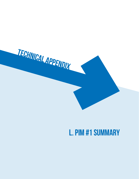

# **L. PIM #1 Summary**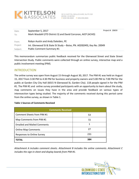

| Date:<br>To: | September 5, 2017<br>Mark Wasdahl (ITD District 3) and David Corcoran, AICP (ACHD) | Project #: 20659 |
|--------------|------------------------------------------------------------------------------------|------------------|
| From:        | Robyn Austin and Andy Daleiden, PE                                                 |                  |
| Project:     | Int. Glenwood St & State St Study - Boise, PN. A020(049), Key No. 20049            |                  |
| Subject:     | <b>Public Comment Summary #1</b>                                                   |                  |

This memorandum summarizes public feedback received for the Glenwood Street and State Street Intersection Study. Public comments were collected through an online survey, interactive map and a public involvement meeting (PIM).

## INTRODUCTION

The online survey was open from August 15 through August 30, 2017. The PIM #1 was held on August 15, 2017 from 3:30 PM to 4:30 PM for business and property owners and 5:00 PM to 7:00 PM for the public at Garden City City Hall (6015 N Glenwood St, Garden City). 118 people signed in for the PIM #1. The PIM #1 and online survey provided participants with an opportunity to learn about the study, map comments on issues they have in the area and provide feedback on various types of interesection types being studied. The majority of the comments received during this period came from the online survey, as shown in Table 1.

#### **Table 1 Sources of Comments Received**

| <b>Comments Received</b>           |     |  |  |
|------------------------------------|-----|--|--|
| Comment Sheets from PIM #1         | 53  |  |  |
| Map Comments from PIM #1           | 72  |  |  |
| <b>Emailed and Mailed Comments</b> |     |  |  |
| <b>Online Map Comments</b>         | 27  |  |  |
| <b>Responses to Online Survey</b>  | 231 |  |  |
| ΤΟΤΑL                              | 384 |  |  |

*Attachment A includes comment sheets. Attachment B includes the online comments. Attachment C includes the sign-in sheet and display boards from PIM #1.* 

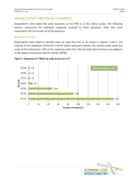# ONLINE SURVEY AND PIM #1 COMMENTS

Respondents were asked the same questions at the PIM as in the online survey. The following sections summarize the individual responses received to these questions. Note that some respondents did not answer all of the questions.

#### Respondent Profile

Respondents were asked to identify what zip code they live in. As shown in Figures 1 and 2, the majority of the responses (52%) live in 83714 which represents Garden City and the areas north and south of the intersection. 95% of the responses came from the zip codes that include or are adjacent to the subject intersection (83714, 83703, 83702).



#### **Figure 1. Responses to "What zip code do you live in?"**

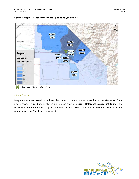



## Mode Choice

Respondents were asked to indicate their primary mode of transportation at the Glenwood State intersection. Figure 3 shows the responses. As shown in **Error! Reference source not found.**, the majority of respondents (93%) primarily drive on the corridor. Non-motorized/active transportation modes represent 7% of the respondents.

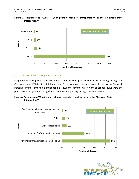



### Reason for Traveling Through Intersection

Respondents were given the opportunity to indicate their primary reason for traveling through the Glenwood Street/State Street intersection. Figure 4 shows the responses. As shown in Figure 4, personal errands/entertainment/shopping (61%) and commuting to work or school (28%) were the primary reasons given for using these roadways and passing through the intersection.





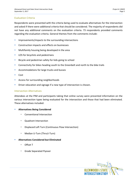## Evaluation Criteria

Respondents were presented with the criteria being used to evaluate alternatives for the intersection and asked if there were additional criteria that should be considered. The majority of respondents did not have any additional comments on the evaluation criteria. 73 respondents provided comments regarding the evaluation criteria. General themes from the comments include:

- **Improvements/impacts to the surrounding intersections**
- **Construction impacts and effects on businesses**
- **Multifamily housing being developed in the area**
- **LOS** for bicyclists and pedestrians
- Bicycle and pedestrian safety for kids going to school
- Connectivity for bikes heading south to the Greenbelt and north to the bike trails
- Accommodations for large trucks and busses
- Cost
- Access for surrounding neighborhoods
- Driver education and signage if a new type of intersection is chosen.

#### Intersection Alternatives

Attendees at the PIM and participants taking that online survey were presented information on the various intersection types being evaluated for the intersection and those that had been eliminated. These alternatives included:

### **Alternatives Being Considered**

- Conventional Intersection
- Quadrant Intersection
- Displaced Left Turn (Continuous Flow Intersection)
- Median U-Turn (ThruU-Turn)

## **Alternatives Considered but Eliminated**

- Offset T
- **Grade Separated Flyover**

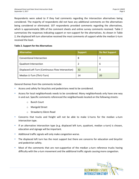Respondents were asked to if they had comments regarding the intersection alternatives being considered. The majority of respondents did not have any additional comments on the alternatives being considered or eliminated. 107 respondents provided comments regarding the alternatives, which is approximately 38% of the comment sheets and online survey comments received. Table 2 summarizes the responses indicating support or non-support for the alternatives. As shown in Table 2, the displaced left turn alternative received the most comments of support while the median U-turn received the least.

#### **Table 2. Support for the Alternatives**

| <b>Alternative</b>                                 | <b>Support</b> | <b>Do Not Support</b> |
|----------------------------------------------------|----------------|-----------------------|
| Conventional Intersection                          | 8              | 3                     |
| <b>Quadrant Intersection</b>                       | $\overline{2}$ | 6                     |
| Displaced Left Turn (Continuous Flow Intersection) | 32             | 3                     |
| Median U-Turn (ThrU-Turn)                          | 14             | 20                    |

General themes from the comments include:

- Access and safety for bicyclists and pedestrians need to be considered.
- Access for local neighborhoods needs to be considered. Many neighborhoods only have one way in and out. Specific comments referenced the neighborhoods located on the following streets:
	- o Bunch Court
	- o Marigold Street
	- o Strawberry Glenn Road
- Concerns that trucks and freight will not be able to make U-turns for the median u-turn intersection type.
- If an alternative intersection type (e.g. displaced left turn, quadrant, median u-turn) is chosen, education and signage will be important.
- **Additional traffic signals will only make congestion worse.**
- The displaced left turn has the most support but there are concerns for education and bicyclist and pedestrian safety.
- Most of the comments that are non-supportive of the median u-turn reference trucks having difficulty with the u-turn movement and the additional traffic signals causing more congestion.

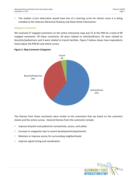**The median u-turn alternative would have less of a learning curve for drivers since it is being** installed at the Veterans Memorial Parkway and State Street intersection.

## Mapped Comments

We received 27 mapped comments on the online interactive map and 72 at the PIM for a total of 99 mapped comments. Of these comments, 60 were related to vehicles/drivers, 35 were related to bicyclists/pedestrians and 4 were related to transit facilities. Figure 5 below shows how respondents heard about the PIM #1 and online survey



#### **Figure 5. Map Comment Categories**

The themes from these comments were similar to the comments that we heard on the comment sheets and the online survey. General themes from the comments include:

- **IMPROVE DICY AND PEDECISY AND PROPERTY** Improve bicyclist and pedestrian connectivity, access, and safety
- **Increase in congestion due to recent developments/apartments**
- **Maintain or improve access for surrounding neighborhoods**
- **Improve signal timing and coordination**